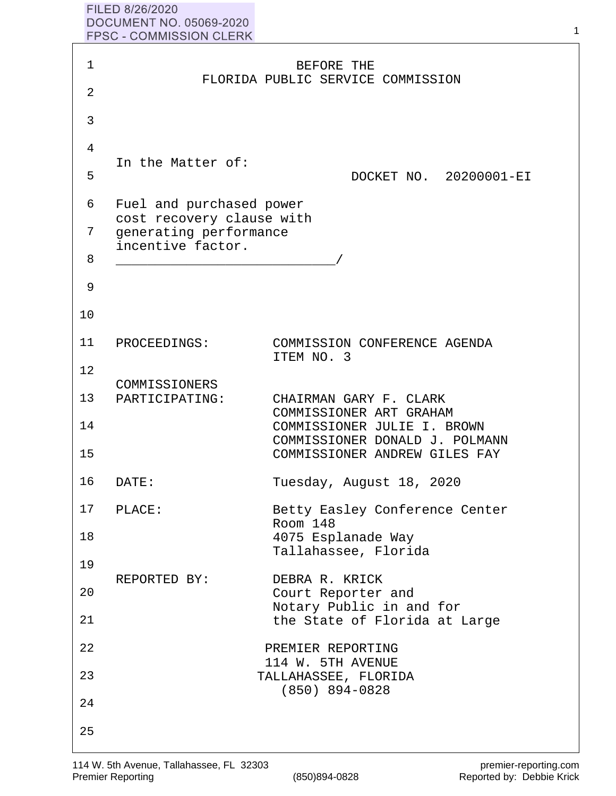## FILED 8/26/2020 **DOCUMENT NO. 05069-2020** FPSC - COMMISSION CLERK

| $\mathbf 1$    |                                                       | BEFORE THE<br>FLORIDA PUBLIC SERVICE COMMISSION               |
|----------------|-------------------------------------------------------|---------------------------------------------------------------|
| $\overline{2}$ |                                                       |                                                               |
| 3              |                                                       |                                                               |
| 4              | In the Matter of:                                     |                                                               |
| 5              |                                                       | DOCKET NO. 20200001-EI                                        |
| 6              | Fuel and purchased power<br>cost recovery clause with |                                                               |
| 7              | generating performance<br>incentive factor.           |                                                               |
| 8              |                                                       |                                                               |
| 9              |                                                       |                                                               |
| 10             |                                                       |                                                               |
| 11             | PROCEEDINGS:                                          | COMMISSION CONFERENCE AGENDA<br>ITEM NO. 3                    |
| 12             | COMMISSIONERS                                         |                                                               |
| 13             | PARTICIPATING:                                        | CHAIRMAN GARY F. CLARK<br>COMMISSIONER ART GRAHAM             |
| 14             |                                                       | COMMISSIONER JULIE I. BROWN<br>COMMISSIONER DONALD J. POLMANN |
| 15             |                                                       | COMMISSIONER ANDREW GILES FAY                                 |
| 16             | DATE:                                                 | Tuesday, August 18, 2020                                      |
| 17             | PLACE:                                                | Betty Easley Conference Center<br>Room 148                    |
| 18             |                                                       | 4075 Esplanade Way<br>Tallahassee, Florida                    |
| 19             | REPORTED BY:                                          | DEBRA R. KRICK                                                |
| 20             |                                                       | Court Reporter and<br>Notary Public in and for                |
| 21             |                                                       | the State of Florida at Large                                 |
| 22             |                                                       | PREMIER REPORTING<br>114 W. 5TH AVENUE                        |
| 23             |                                                       | TALLAHASSEE, FLORIDA<br>$(850)$ 894-0828                      |
| 24             |                                                       |                                                               |
| 25             |                                                       |                                                               |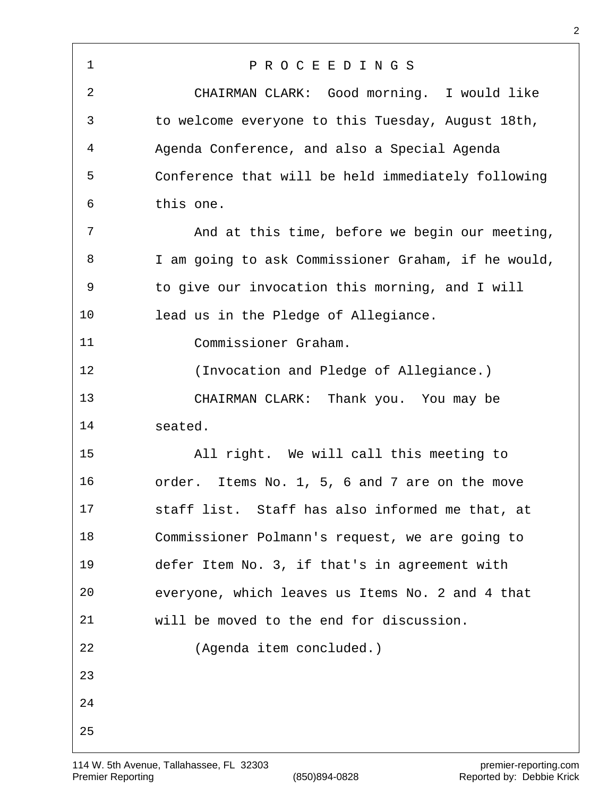P R O C E E D I N G S CHAIRMAN CLARK: Good morning. I would like to welcome everyone to this Tuesday, August 18th, Agenda Conference, and also a Special Agenda Conference that will be held immediately following this one. And at this time, before we begin our meeting, I am going to ask Commissioner Graham, if he would, to give our invocation this morning, and I will lead us in the Pledge of Allegiance. Commissioner Graham. (Invocation and Pledge of Allegiance.) CHAIRMAN CLARK: Thank you. You may be seated. All right. We will call this meeting to order. Items No. 1, 5, 6 and 7 are on the move staff list. Staff has also informed me that, at Commissioner Polmann's request, we are going to defer Item No. 3, if that's in agreement with everyone, which leaves us Items No. 2 and 4 that will be moved to the end for discussion. (Agenda item concluded.)